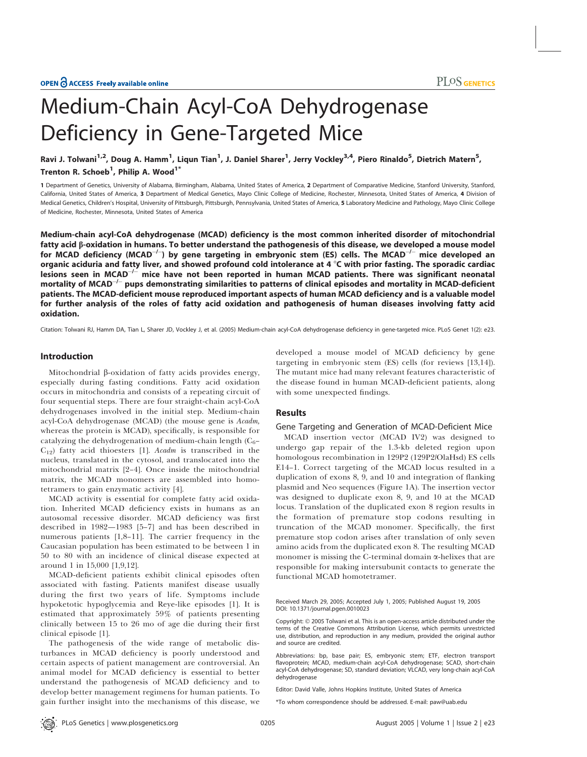# Medium-Chain Acyl-CoA Dehydrogenase Deficiency in Gene-Targeted Mice

Ravi J. Tolwani<sup>1,2</sup>, Doug A. Hamm<sup>1</sup>, Liqun Tian<sup>1</sup>, J. Daniel Sharer<sup>1</sup>, Jerry Vockley<sup>3,4</sup>, Piero Rinaldo<sup>5</sup>, Dietrich Matern<sup>5</sup>, Trenton R. Schoeb $^1$ , Philip A. Wood $^1{}^*$ 

1 Department of Genetics, University of Alabama, Birmingham, Alabama, United States of America, 2 Department of Comparative Medicine, Stanford University, Stanford, California, United States of America, 3 Department of Medical Genetics, Mayo Clinic College of Medicine, Rochester, Minnesota, United States of America, 4 Division of Medical Genetics, Children's Hospital, University of Pittsburgh, Pittsburgh, Pennsylvania, United States of America, 5 Laboratory Medicine and Pathology, Mayo Clinic College of Medicine, Rochester, Minnesota, United States of America

Medium-chain acyl-CoA dehydrogenase (MCAD) deficiency is the most common inherited disorder of mitochondrial fatty acid  $\beta$ -oxidation in humans. To better understand the pathogenesis of this disease, we developed a mouse model for MCAD deficiency (MCAD $^{-/-}$ ) by gene targeting in embryonic stem (ES) cells. The MCAD $^{-/-}$  mice developed an organic aciduria and fatty liver, and showed profound cold intolerance at 4  $\degree$ C with prior fasting. The sporadic cardiac lesions seen in MCAD $^{-/-}$  mice have not been reported in human MCAD patients. There was significant neonatal mortality of MCAD $^{\rm -/-}$  pups demonstrating similarities to patterns of clinical episodes and mortality in MCAD-deficient patients. The MCAD-deficient mouse reproduced important aspects of human MCAD deficiency and is a valuable model for further analysis of the roles of fatty acid oxidation and pathogenesis of human diseases involving fatty acid oxidation.

Citation: Tolwani RJ, Hamm DA, Tian L, Sharer JD, Vockley J, et al. (2005) Medium-chain acyl-CoA dehydrogenase deficiency in gene-targeted mice. PLoS Genet 1(2): e23.

# Introduction

Mitochondrial  $\beta$ -oxidation of fatty acids provides energy, especially during fasting conditions. Fatty acid oxidation occurs in mitochondria and consists of a repeating circuit of four sequential steps. There are four straight-chain acyl-CoA dehydrogenases involved in the initial step. Medium-chain acyl-CoA dehydrogenase (MCAD) (the mouse gene is Acadm, whereas the protein is MCAD), specifically, is responsible for catalyzing the dehydrogenation of medium-chain length  $(C_6 C_{12}$ ) fatty acid thioesters [1]. Acadm is transcribed in the nucleus, translated in the cytosol, and translocated into the mitochondrial matrix [2–4]. Once inside the mitochondrial matrix, the MCAD monomers are assembled into homotetramers to gain enzymatic activity [4].

MCAD activity is essential for complete fatty acid oxidation. Inherited MCAD deficiency exists in humans as an autosomal recessive disorder. MCAD deficiency was first described in 1982—1983 [5–7] and has been described in numerous patients [1,8–11]. The carrier frequency in the Caucasian population has been estimated to be between 1 in 50 to 80 with an incidence of clinical disease expected at around 1 in 15,000 [1,9,12].

MCAD-deficient patients exhibit clinical episodes often associated with fasting. Patients manifest disease usually during the first two years of life. Symptoms include hypoketotic hypoglycemia and Reye-like episodes [1]. It is estimated that approximately 59% of patients presenting clinically between 15 to 26 mo of age die during their first clinical episode [1].

The pathogenesis of the wide range of metabolic disturbances in MCAD deficiency is poorly understood and certain aspects of patient management are controversial. An animal model for MCAD deficiency is essential to better understand the pathogenesis of MCAD deficiency and to develop better management regimens for human patients. To gain further insight into the mechanisms of this disease, we developed a mouse model of MCAD deficiency by gene targeting in embryonic stem (ES) cells (for reviews [13,14]). The mutant mice had many relevant features characteristic of the disease found in human MCAD-deficient patients, along with some unexpected findings.

# Results

# Gene Targeting and Generation of MCAD-Deficient Mice

MCAD insertion vector (MCAD IV2) was designed to undergo gap repair of the 1.3-kb deleted region upon homologous recombination in 129P2 (129P2/OlaHsd) ES cells E14–1. Correct targeting of the MCAD locus resulted in a duplication of exons 8, 9, and 10 and integration of flanking plasmid and Neo sequences (Figure 1A). The insertion vector was designed to duplicate exon 8, 9, and 10 at the MCAD locus. Translation of the duplicated exon 8 region results in the formation of premature stop codons resulting in truncation of the MCAD monomer. Specifically, the first premature stop codon arises after translation of only seven amino acids from the duplicated exon 8. The resulting MCAD monomer is missing the C-terminal domain  $\alpha$ -helixes that are responsible for making intersubunit contacts to generate the functional MCAD homotetramer.

Editor: David Valle, Johns Hopkins Institute, United States of America

\*To whom correspondence should be addressed. E-mail: paw@uab.edu

Received March 29, 2005; Accepted July 1, 2005; Published August 19, 2005 DOI: 10.1371/journal.pgen.0010023

Copyright: © 2005 Tolwani et al. This is an open-access article distributed under the terms of the Creative Commons Attribution License, which permits unrestricted use, distribution, and reproduction in any medium, provided the original author and source are credited.

Abbreviations: bp, base pair; ES, embryonic stem; ETF, electron transport flavoprotein; MCAD, medium-chain acyl-CoA dehydrogenase; SCAD, short-chain acyl-CoA dehydrogenase; SD, standard deviation; VLCAD, very long-chain acyl-CoA dehydrogenase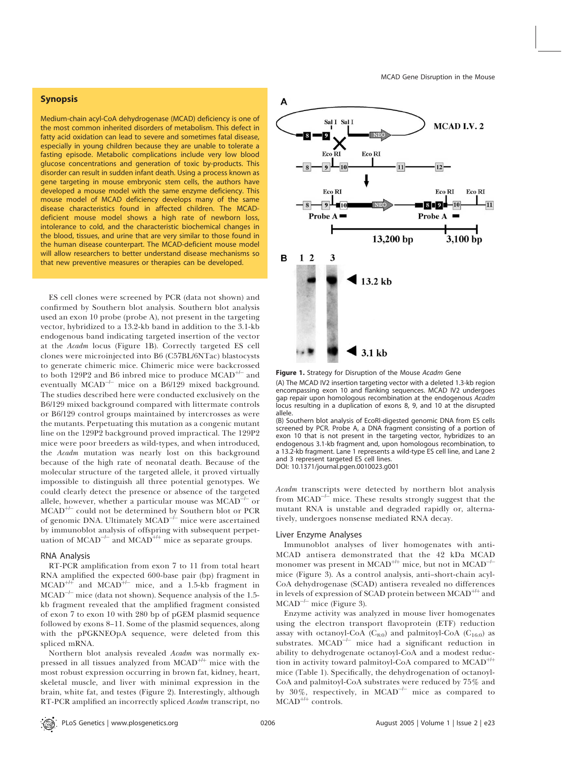# Synopsis

Medium-chain acyl-CoA dehydrogenase (MCAD) deficiency is one of the most common inherited disorders of metabolism. This defect in fatty acid oxidation can lead to severe and sometimes fatal disease, especially in young children because they are unable to tolerate a fasting episode. Metabolic complications include very low blood glucose concentrations and generation of toxic by-products. This disorder can result in sudden infant death. Using a process known as gene targeting in mouse embryonic stem cells, the authors have developed a mouse model with the same enzyme deficiency. This mouse model of MCAD deficiency develops many of the same disease characteristics found in affected children. The MCADdeficient mouse model shows a high rate of newborn loss, intolerance to cold, and the characteristic biochemical changes in the blood, tissues, and urine that are very similar to those found in the human disease counterpart. The MCAD-deficient mouse model will allow researchers to better understand disease mechanisms so that new preventive measures or therapies can be developed.

ES cell clones were screened by PCR (data not shown) and confirmed by Southern blot analysis. Southern blot analysis used an exon 10 probe (probe A), not present in the targeting vector, hybridized to a 13.2-kb band in addition to the 3.1-kb endogenous band indicating targeted insertion of the vector at the Acadm locus (Figure 1B). Correctly targeted ES cell clones were microinjected into B6 (C57BL/6NTac) blastocysts to generate chimeric mice. Chimeric mice were backcrossed to both 129P2 and B6 inbred mice to produce  $\text{MCAD}^{+/-}$  and eventually  $\mathrm{MCAD}^{\!-\! \prime-}$  mice on a B6/129 mixed background. The studies described here were conducted exclusively on the B6/129 mixed background compared with littermate controls or B6/129 control groups maintained by intercrosses as were the mutants. Perpetuating this mutation as a congenic mutant line on the 129P2 background proved impractical. The 129P2 mice were poor breeders as wild-types, and when introduced, the Acadm mutation was nearly lost on this background because of the high rate of neonatal death. Because of the molecular structure of the targeted allele, it proved virtually impossible to distinguish all three potential genotypes. We could clearly detect the presence or absence of the targeted allele, however, whether a particular mouse was  $\text{MCAD}^{\perp\perp}$  or  $MCAD^{+/-}$  could not be determined by Southern blot or PCR of genomic DNA. Ultimately  $\mathrm{MCAD}^{\!\perp\!}$  mice were ascertained by immunoblot analysis of offspring with subsequent perpetuation of MCAD<sup>- $\pm$ </sup> and MCAD<sup>+ $\pm$ </sup> mice as separate groups.

#### RNA Analysis

RT-PCR amplification from exon 7 to 11 from total heart RNA amplified the expected 600-base pair (bp) fragment in  $MCAD^{++}$  and  $MCAD^{++}$  mice, and a 1.5-kb fragment in MCAD<sup>-1-</sup> mice (data not shown). Sequence analysis of the 1.5kb fragment revealed that the amplified fragment consisted of exon 7 to exon 10 with 280 bp of pGEM plasmid sequence followed by exons 8–11. Some of the plasmid sequences, along with the pPGKNEOpA sequence, were deleted from this spliced mRNA.

Northern blot analysis revealed Acadm was normally expressed in all tissues analyzed from  $MCAD^{++}$  mice with the most robust expression occurring in brown fat, kidney, heart, skeletal muscle, and liver with minimal expression in the brain, white fat, and testes (Figure 2). Interestingly, although RT-PCR amplified an incorrectly spliced Acadm transcript, no



Figure 1. Strategy for Disruption of the Mouse Acadm Gene

(A) The MCAD IV2 insertion targeting vector with a deleted 1.3-kb region encompassing exon 10 and flanking sequences. MCAD IV2 undergoes gap repair upon homologous recombination at the endogenous Acadm locus resulting in a duplication of exons 8, 9, and 10 at the disrupted allele.

(B) Southern blot analysis of EcoRI-digested genomic DNA from ES cells screened by PCR. Probe A, a DNA fragment consisting of a portion of exon 10 that is not present in the targeting vector, hybridizes to an endogenous 3.1-kb fragment and, upon homologous recombination, to a 13.2-kb fragment. Lane 1 represents a wild-type ES cell line, and Lane 2 and 3 represent targeted ES cell lines.

DOI: 10.1371/journal.pgen.0010023.g001

Acadm transcripts were detected by northern blot analysis from  $MCAD^{-/-}$  mice. These results strongly suggest that the mutant RNA is unstable and degraded rapidly or, alternatively, undergoes nonsense mediated RNA decay.

#### Liver Enzyme Analyses

Immunoblot analyses of liver homogenates with anti-MCAD antisera demonstrated that the 42 kDa MCAD monomer was present in MCAD<sup>+/+</sup> mice, but not in MCAD<sup>-/-</sup> mice (Figure 3). As a control analysis, anti–short-chain acyl-CoA dehydrogenase (SCAD) antisera revealed no differences in levels of expression of SCAD protein between  $MCAD^{++}$  and  $MCAD^{-/-}$  mice (Figure 3).

Enzyme activity was analyzed in mouse liver homogenates using the electron transport flavoprotein (ETF) reduction assay with octanoyl-CoA  $(C_{8:0})$  and palmitoyl-CoA  $(C_{16:0})$  as substrates. MCAD<sup>-/-</sup> mice had a significant reduction in ability to dehydrogenate octanoyl-CoA and a modest reduction in activity toward palmitoyl-CoA compared to  $MCAD^{++}$ mice (Table 1). Specifically, the dehydrogenation of octanoyl-CoA and palmitoyl-CoA substrates were reduced by 75% and by  $30\%$ , respectively, in MCAD<sup>-1-</sup> mice as compared to  $MCAD^{++}$  controls.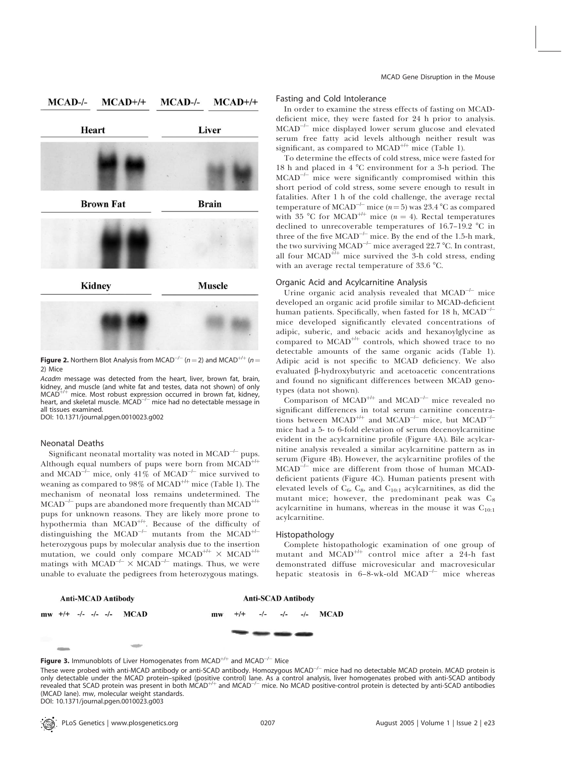

**Figure 2.** Northern Blot Analysis from MCAD<sup>-/-</sup> (n = 2) and MCAD<sup>+/+</sup> (n = 2) Mice

Acadm message was detected from the heart, liver, brown fat, brain, kidney, and muscle (and white fat and testes, data not shown) of only<br>MCAD<sup>+/+</sup> mice. Most robust expression occurred in brown fat, kidney, heart, and skeletal muscle. MCAD<sup>-/-</sup> mice had no detectable message in all tissues examined.

DOI: 10.1371/journal.pgen.0010023.g002

# Neonatal Deaths

Significant neonatal mortality was noted in  $\mathrm{MCAD}^{\!-\! \prime-}$  pups. Although equal numbers of pups were born from  $\text{MCAD}^{+ \text{++}}$ and MCAD<sup>-1-</sup> mice, only 41% of MCAD<sup>-1-</sup> mice survived to weaning as compared to  $98\%$  of MCAD<sup>+/+</sup> mice (Table 1). The mechanism of neonatal loss remains undetermined. The  $\mathrm{MCAD}^{\!+\!\!-\!\!-}$  pups are abandoned more frequently than  $\mathrm{MCAD}^{\!+\!\!+\!\!-}$ pups for unknown reasons. They are likely more prone to hypothermia than  $MCAD^{++}$ . Because of the difficulty of distinguishing the MCAD<sup>-/-</sup> mutants from the MCAD<sup>+/-</sup> heterozygous pups by molecular analysis due to the insertion mutation, we could only compare  $MCAD^{++} \times MCAD^{++}$ matings with  $\text{MCAD}^{-/-} \times \text{MCAD}^{-/-}$  matings. Thus, we were unable to evaluate the pedigrees from heterozygous matings.

# Fasting and Cold Intolerance

In order to examine the stress effects of fasting on MCADdeficient mice, they were fasted for 24 h prior to analysis. MCAD<sup>-/-</sup> mice displayed lower serum glucose and elevated serum free fatty acid levels although neither result was significant, as compared to  $MCAD^{++}$  mice (Table 1).

To determine the effects of cold stress, mice were fasted for 18 h and placed in  $4^{\circ}$ C environment for a 3-h period. The  $\text{MCAD} \text{--}^\text{--}$  mice were significantly compromised within this short period of cold stress, some severe enough to result in fatalities. After 1 h of the cold challenge, the average rectal temperature of MCAD<sup>-1-</sup> mice ( $n = 5$ ) was 23.4 °C as compared with 35 °C for MCAD<sup>+/+</sup> mice (n = 4). Rectal temperatures declined to unrecoverable temperatures of  $16.7-19.2$  °C in three of the five  $\text{MCAD}^{-/-}$  mice. By the end of the 1.5-h mark, the two surviving MCAD<sup>-/-</sup> mice averaged 22.7 °C. In contrast, all four MCAD<sup>+/+</sup> mice survived the 3-h cold stress, ending with an average rectal temperature of  $33.6 \text{ °C}$ .

# Organic Acid and Acylcarnitine Analysis

Urine organic acid analysis revealed that  $\text{MCAD}^{\dashv -}$  mice developed an organic acid profile similar to MCAD-deficient human patients. Specifically, when fasted for 18 h,  $\text{MCAD}^{\text{--}\text{--}}$ mice developed significantly elevated concentrations of adipic, suberic, and sebacic acids and hexanoylglycine as compared to  $MCAD^{++}$  controls, which showed trace to no detectable amounts of the same organic acids (Table 1). Adipic acid is not specific to MCAD deficiency. We also evaluated b-hydroxybutyric and acetoacetic concentrations and found no significant differences between MCAD genotypes (data not shown).

Comparison of  $\text{MCAD}^{++}$  and  $\text{MCAD}^{-/-}$  mice revealed no significant differences in total serum carnitine concentrations between MCAD<sup>+/+</sup> and MCAD<sup>-/-</sup> mice, but MCAD<sup>-/-</sup> mice had a 5- to 6-fold elevation of serum decenoylcarnitine evident in the acylcarnitine profile (Figure 4A). Bile acylcarnitine analysis revealed a similar acylcarnitine pattern as in serum (Figure 4B). However, the acylcarnitine profiles of the MCAD-/- mice are different from those of human MCADdeficient patients (Figure 4C). Human patients present with elevated levels of  $C_6$ ,  $C_8$ , and  $C_{10:1}$  acylcarnitines, as did the mutant mice; however, the predominant peak was  $C_8$ acylcarnitine in humans, whereas in the mouse it was  $C_{10:1}$ acylcarnitine.

#### Histopathology

Complete histopathologic examination of one group of mutant and  $\widehat{MCAD}^{++}$  control mice after a 24-h fast demonstrated diffuse microvesicular and macrovesicular hepatic steatosis in 6-8-wk-old MCAD<sup>-/-</sup> mice whereas

#### **Anti-MCAD Antibody Anti-SCAD Antibody**  $mw$  +/+ -/- -/- -/-  $MCAD$ **MCAD**  $m<sub>w</sub>$

**Figure 3.** Immunoblots of Liver Homogenates from MCAD<sup>+/+</sup> and MCAD<sup>-/-</sup> Mice

PLoS Genetics | www.plosgenetics.org August 2005 | Volume 1 | Issue 2 | e23 0207

These were probed with anti-MCAD antibody or anti-SCAD antibody. Homozygous MCAD<sup>-/-</sup> mice had no detectable MCAD protein. MCAD protein is only detectable under the MCAD protein–spiked (positive control) lane. As a control analysis, liver homogenates probed with anti-SCAD antibody<br>revealed that SCAD protein was present in both MCAD<sup>+/+</sup> and MCAD<sup>-/–</sup> mice. No (MCAD lane). mw, molecular weight standards. DOI: 10.1371/journal.pgen.0010023.g003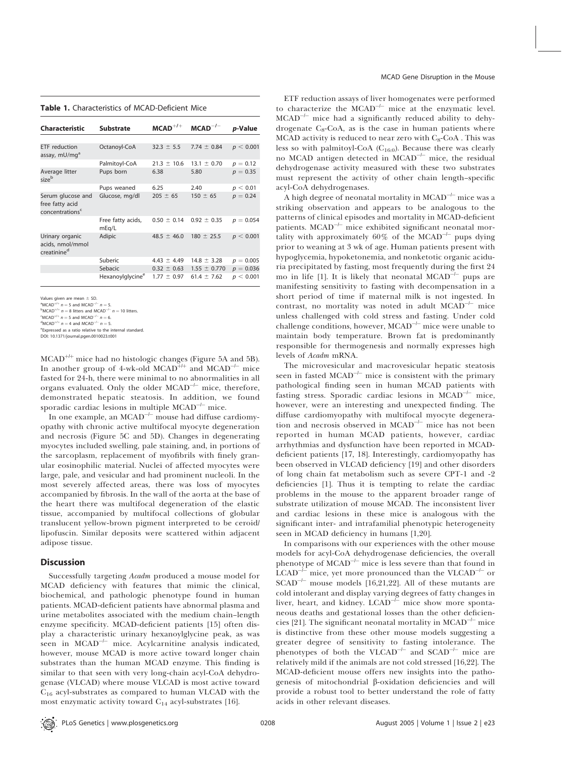#### Table 1. Characteristics of MCAD-Deficient Mice

| <b>Characteristic</b>                                               | <b>Substrate</b>             | $MCAD^{+/+}$    | $MCAD^{-/-}$     | <i>p</i> -Value |
|---------------------------------------------------------------------|------------------------------|-----------------|------------------|-----------------|
|                                                                     |                              |                 |                  |                 |
| ETF reduction<br>assay, mU/mg <sup>a</sup>                          | Octanoyl-CoA                 | $32.3 \pm 5.5$  | 7.74 $\pm$ 0.84  | p < 0.001       |
|                                                                     | Palmitoyl-CoA                | $21.3 \pm 10.6$ | $13.1 \pm 0.70$  | $p = 0.12$      |
| Average litter<br>sizeb                                             | Pups born                    | 6.38            | 5.80             | $p = 0.35$      |
|                                                                     | Pups weaned                  | 6.25            | 2.40             | p < 0.01        |
| Serum glucose and<br>free fatty acid<br>concentrations <sup>c</sup> | Glucose, mg/dl               | $205 \pm 65$    | $150 \pm 65$     | $p = 0.24$      |
|                                                                     | Free fatty acids,<br>mEq/L   | $0.50 \pm 0.14$ | $0.92 \pm 0.35$  | $p = 0.054$     |
| Urinary organic<br>acids, nmol/mmol<br>creatinine <sup>d</sup>      | Adipic                       | $48.5 \pm 46.0$ | $180 \pm 25.5$   | p < 0.001       |
|                                                                     | Suberic                      | 4.43 $\pm$ 4.49 | $14.8 \pm 3.28$  | $p = 0.005$     |
|                                                                     | Sebacic                      | $0.32 \pm 0.63$ | $1.55 \pm 0.770$ | $p = 0.036$     |
|                                                                     | Hexanoylglycine <sup>e</sup> | $1.77 \pm 0.97$ | $61.4 \pm 7.62$  | p < 0.001       |

Values given are mean  $\pm$  SD.

 $^{c}$ MCAD<sup>+/+</sup>  $n = 5$  and MCAD<sup>-/-</sup>  $n = 6$ .

 $dMCAD^{+/+} n = 4$  and  $MCAD^{-/-} n = 5$ .

e Expressed as a ratio relative to the internal standard.

DOI: 10.1371/journal.pgen.0010023.t001

MCAD<sup>+/+</sup> mice had no histologic changes (Figure 5A and 5B). In another group of 4-wk-old MCAD<sup>+/+</sup> and MCAD<sup>-/-</sup> mice fasted for 24-h, there were minimal to no abnormalities in all organs evaluated. Only the older  $\text{MCAD}^{\perp\perp}$  mice, therefore, demonstrated hepatic steatosis. In addition, we found sporadic cardiac lesions in multiple  $\text{MCAD}^{\dashv -}$  mice.

In one example, an  $\text{MCAD}^{\dashv -}$  mouse had diffuse cardiomyopathy with chronic active multifocal myocyte degeneration and necrosis (Figure 5C and 5D). Changes in degenerating myocytes included swelling, pale staining, and, in portions of the sarcoplasm, replacement of myofibrils with finely granular eosinophilic material. Nuclei of affected myocytes were large, pale, and vesicular and had prominent nucleoli. In the most severely affected areas, there was loss of myocytes accompanied by fibrosis. In the wall of the aorta at the base of the heart there was multifocal degeneration of the elastic tissue, accompanied by multifocal collections of globular translucent yellow-brown pigment interpreted to be ceroid/ lipofuscin. Similar deposits were scattered within adjacent adipose tissue.

# Discussion

Successfully targeting Acadm produced a mouse model for MCAD deficiency with features that mimic the clinical, biochemical, and pathologic phenotype found in human patients. MCAD-deficient patients have abnormal plasma and urine metabolites associated with the medium chain–length enzyme specificity. MCAD-deficient patients [15] often display a characteristic urinary hexanoylglycine peak, as was  $\overline{\text{seen}}$  in MCAD<sup>-1-</sup> mice. Acylcarnitine analysis indicated, however, mouse MCAD is more active toward longer chain substrates than the human MCAD enzyme. This finding is similar to that seen with very long-chain acyl-CoA dehydrogenase (VLCAD) where mouse VLCAD is most active toward  $C_{16}$  acyl-substrates as compared to human VLCAD with the most enzymatic activity toward  $C_{14}$  acyl-substrates [16].

ETF reduction assays of liver homogenates were performed to characterize the  $MCAD^{-/-}$  mice at the enzymatic level. MCAD<sup>-/-</sup> mice had a significantly reduced ability to dehydrogenate  $C_8$ -CoA, as is the case in human patients where MCAD activity is reduced to near zero with  $C_8$ -CoA. This was less so with palmitoyl-CoA (C16:0). Because there was clearly no MCAD antigen detected in MCAD<sup>-/-</sup> mice, the residual dehydrogenase activity measured with these two substrates must represent the activity of other chain length–specific acyl-CoA dehydrogenases.

A high degree of neonatal mortality in  $\mathrm{MCAD}^{\!-\! \prime-}$  mice was a striking observation and appears to be analogous to the patterns of clinical episodes and mortality in MCAD-deficient patients. MCAD<sup>-/-</sup> mice exhibited significant neonatal mortality with approximately  $60\%$  of the MCAD<sup>-/-</sup> pups dying prior to weaning at 3 wk of age. Human patients present with hypoglycemia, hypoketonemia, and nonketotic organic aciduria precipitated by fasting, most frequently during the first 24 mo in life [1]. It is likely that neonatal MCAD<sup>- $\mu$ </sup> pups are manifesting sensitivity to fasting with decompensation in a short period of time if maternal milk is not ingested. In contrast, no mortality was noted in adult  $\text{MCAD}^{-/-}$  mice unless challenged with cold stress and fasting. Under cold challenge conditions, however, MCAD<sup>-/-</sup> mice were unable to maintain body temperature. Brown fat is predominantly responsible for thermogenesis and normally expresses high levels of Acadm mRNA.

The microvesicular and macrovesicular hepatic steatosis seen in fasted MCAD<sup>-/-</sup> mice is consistent with the primary pathological finding seen in human MCAD patients with fasting stress. Sporadic cardiac lesions in MCAD<sup>-1-</sup> mice, however, were an interesting and unexpected finding. The diffuse cardiomyopathy with multifocal myocyte degeneration and necrosis observed in MCAD<sup>-/-</sup> mice has not been reported in human MCAD patients, however, cardiac arrhythmias and dysfunction have been reported in MCADdeficient patients [17, 18]. Interestingly, cardiomyopathy has been observed in VLCAD deficiency [19] and other disorders of long chain fat metabolism such as severe CPT-1 and -2 deficiencies [1]. Thus it is tempting to relate the cardiac problems in the mouse to the apparent broader range of substrate utilization of mouse MCAD. The inconsistent liver and cardiac lesions in these mice is analogous with the significant inter- and intrafamilial phenotypic heterogeneity seen in MCAD deficiency in humans [1,20].

In comparisons with our experiences with the other mouse models for acyl-CoA dehydrogenase deficiencies, the overall phenotype of  $MCAD^{-/-}$  mice is less severe than that found in  $LCAD^{-k}$  $\hat{H}^2$  mice, yet more pronounced than the VLCAD<sup>-1-</sup> or  $SCAD^{-/-}$  mouse models [16,21,22]. All of these mutants are cold intolerant and display varying degrees of fatty changes in liver, heart, and kidney.  $LCAD^{-/-}$  mice show more spontaneous deaths and gestational losses than the other deficiencies [21]. The significant neonatal mortality in  $\mathrm{MCAD}^{\!-\!/-}$  mice is distinctive from these other mouse models suggesting a greater degree of sensitivity to fasting intolerance. The phenotypes of both the VLCAD<sup>- $\perp$ </sup> and SCAD<sup>- $\perp$ </sup> mice are relatively mild if the animals are not cold stressed [16,22]. The MCAD-deficient mouse offers new insights into the pathogenesis of mitochondrial b-oxidation deficiencies and will provide a robust tool to better understand the role of fatty acids in other relevant diseases.

<sup>&</sup>lt;sup>a</sup>MCAD<sup>+/+</sup>  $n = 5$  and MCAD<sup>-/-</sup>  $n = 5$ .<br><sup>b</sup>MCAD<sup>+/+</sup>  $n = 8$  litters and MCAD<sup>-/-</sup>  $n = 10$  litters.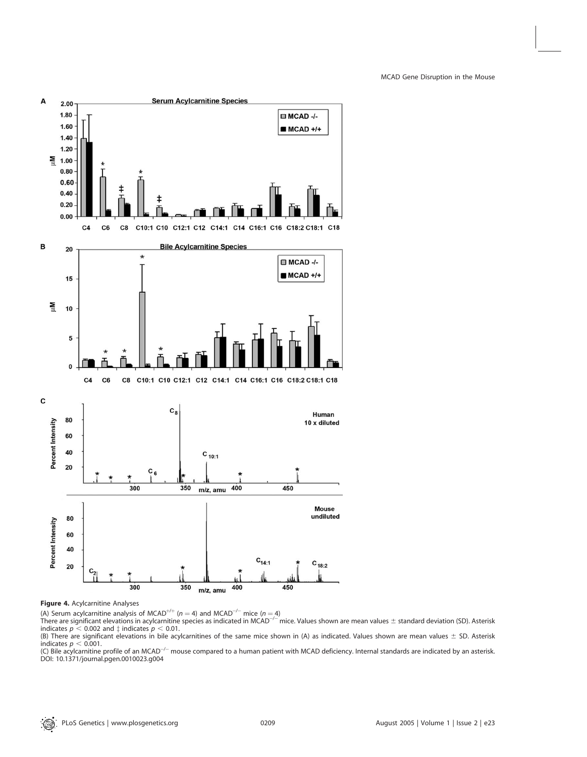

# Figure 4. Acylcarnitine Analyses

(A) Serum acylcarnitine analysis of MCAD<sup>+/+</sup> (n = 4) and MCAD<sup>-/-</sup> mice (n = 4)

There are significant elevations in acylcarnitine species as indicated in MCAD<sup>—/—</sup>mice. Values shown are mean values  $\pm$  standard deviation (SD). Asterisk indicates  $p < 0.002$  and  $\ddagger$  indicates  $p < 0.01$ .

(B) There are significant elevations in bile acylcarnitines of the same mice shown in (A) as indicated. Values shown are mean values  $\pm$  SD. Asterisk indicates  $p < 0.001$ .

(C) Bile acylcarnitine profile of an MCAD<sup>-/-</sup> mouse compared to a human patient with MCAD deficiency. Internal standards are indicated by an asterisk. DOI: 10.1371/journal.pgen.0010023.g004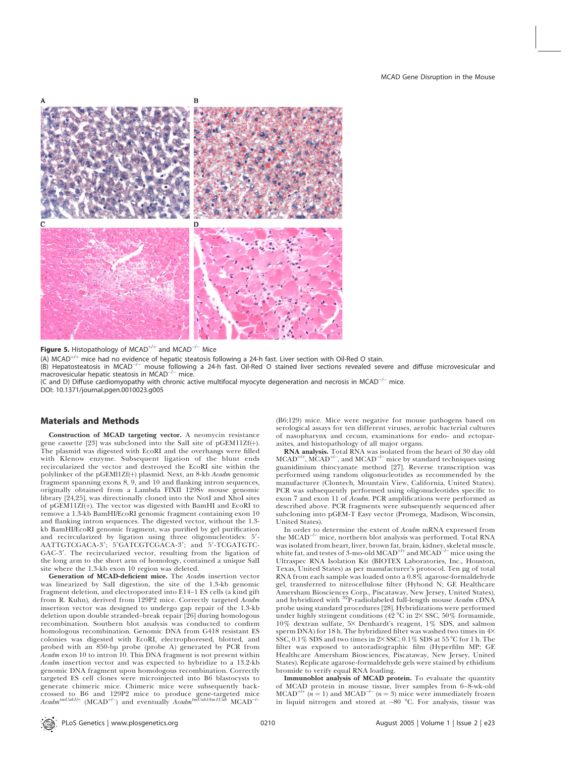

**Figure 5.** Histopathology of MCAD<sup>+/+</sup> and MCAD<sup>-/-</sup> Mice

(A) MCAD<sup>+/+</sup> mice had no evidence of hepatic steatosis following a 24-h fast. Liver section with Oil-Red O stain.

(B) Hepatosteatosis in MCAD<sup>-/-</sup> mouse following a 24-h fast. Oil-Red O stained liver sections revealed severe and diffuse microvesicular and<br>macrovesicular hepatic steatosis in MCAD<sup>-/-</sup> mice.

(C and D) Diffuse cardiomyopathy with chronic active multifocal myocyte degeneration and necrosis in MCAD<sup>-/-</sup> mice. DOI: 10.1371/journal.pgen.0010023.g005

#### Materials and Methods

Construction of MCAD targeting vector. A neomycin resistance gene cassette [23] was subcloned into the SalI site of pGEM11Zf(þ). The plasmid was digested with EcoRI and the overhangs were filled with Klenow enzyme. Subsequent ligation of the blunt ends recircularized the vector and destroyed the EcoRI site within the polylinker of the pGEMl1Zf(+) plasmid. Next, an 8-kb Acadm genomic fragment spanning exons 8, 9, and 10 and flanking intron sequences, originally obtained from a Lambda FIXII 129Sv mouse genomic library [24,25], was directionally cloned into the NotI and XhoI sites of pGEM11Zf(þ). The vector was digested with BamHI and EcoRI to remove a 1.3-kb BamHI/EcoRI genomic fragment containing exon 10 and flanking intron sequences. The digested vector, without the 1.3 kb BamHI/EcoRI genomic fragment, was purified by gel purification and recircularized by ligation using three oligonucleotides: 5'-AATTGTCGACA-3'; 5'GATCGTCGACA-3'; and 5'-TCGATGTC-GAC-3'. The recircularized vector, resulting from the ligation of the long arm to the short arm of homology, contained a unique SalI site where the 1.3-kb exon 10 region was deleted.

Generation of MCAD-deficient mice. The Acadm insertion vector was linearized by SalI digestion, the site of the 1.3-kb genomic fragment deletion, and electroporated into E14–1 ES cells (a kind gift from R. Kuhn), derived from 129P2 mice. Correctly targeted Acadm insertion vector was designed to undergo gap repair of the 1.3-kb deletion upon double stranded–break repair [26] during homologous recombination. Southern blot analysis was conducted to confirm homologous recombination. Genomic DNA from G418 resistant ES colonies was digested with EcoRI, electrophoresed, blotted, and probed with an 850-bp probe (probe A) generated by PCR from Acadm exon 10 to intron 10. This DNA fragment is not present within Acadm insertion vector and was expected to hybridize to a 13.2-kb genomic DNA fragment upon homologous recombination. Correctly targeted ES cell clones were microinjected into B6 blastocysts to generate chimeric mice. Chimeric mice were subsequently backcrossed to B6 and 129P2 mice to produce gene-targeted mice<br>*Acadm<sup>tmUab1/+</sup>* (MCAD<sup>+/-</sup>) and eventually *Acadm<sup>tmUab1/tm1Uab* MCAD<sup>-/-</sup></sup>

(B6;129) mice. Mice were negative for mouse pathogens based on serological assays for ten different viruses, aerobic bacterial cultures of nasopharynx and cecum, examinations for endo- and ectoparasites, and histopathology of all major organs.

RNA analysis. Total RNA was isolated from the heart of 30 day old  $\rm MCAD^{++}$ ,  $\rm MCAD^{++}$ , and  $\rm MCAD^{-/-}$  mice by standard techniques using guanidinium thiocyanate method [27]. Reverse transcription was performed using random oligonucleotides as recommended by the manufacturer (Clontech, Mountain View, California, United States). PCR was subsequently performed using oligonucleotides specific to exon 7 and exon 11 of Acadm. PCR amplifications were performed as described above. PCR fragments were subsequently sequenced after subcloning into pGEM-T Easy vector (Promega, Madison, Wisconsin, United States).

In order to determine the extent of Acadm mRNA expressed from the MCAD<sup>-/-</sup> mice, northern blot analysis was performed. Total RNA was isolated from heart, liver, brown fat, brain, kidney, skeletal muscle,<br>white fat, and testes of 3-mo-old MCAD<sup>+/+</sup> and MCAD<sup>-/-</sup> mice using the Ultraspec RNA Isolation Kit (BIOTEX Laboratories, Inc., Houston, Texas, United States) as per manufacturer's protocol. Ten lg of total RNA from each sample was loaded onto a 0.8% agarose-formaldehyde gel, transferred to nitrocellulose filter (Hybond N; GE Healthcare Amersham Biosciences Corp., Piscataway, New Jersey, United States), and hybridized with <sup>32</sup>P-radiolabeled full-length mouse *Acadm* cDNA probe using standard procedures [28]. Hybridizations were performed under highly stringent conditions (42  $\degree$ C in 2× SSC, 50% formamide, 10% dextran sulfate, 5× Denhardt's reagent, 1% SDS, and salmon sperm DNA) for 18 h. The hybridized filter was washed two times in  $4\times$  $\hat{SSC}$ , 0.1% SDS and two times in 2×SSC; 0.1% SDS at 55 °C for 1 h. The filter was exposed to autoradiographic film (Hyperfilm MP; GE Healthcare Amersham Biosciences, Piscataway, New Jersey, United States). Replicate agarose-formaldehyde gels were stained by ethidium bromide to verify equal RNA loading.

Immunoblot analysis of MCAD protein. To evaluate the quantity of MCAD protein in mouse tissue, liver samples from 6–8-wk-old  $MCAD^{++}$  ( $n = 1$ ) and  $MCAD^{-/-}$  ( $n = 3$ ) mice were immediately frozen in liquid nitrogen and stored at -80 °C. For analysis, tissue was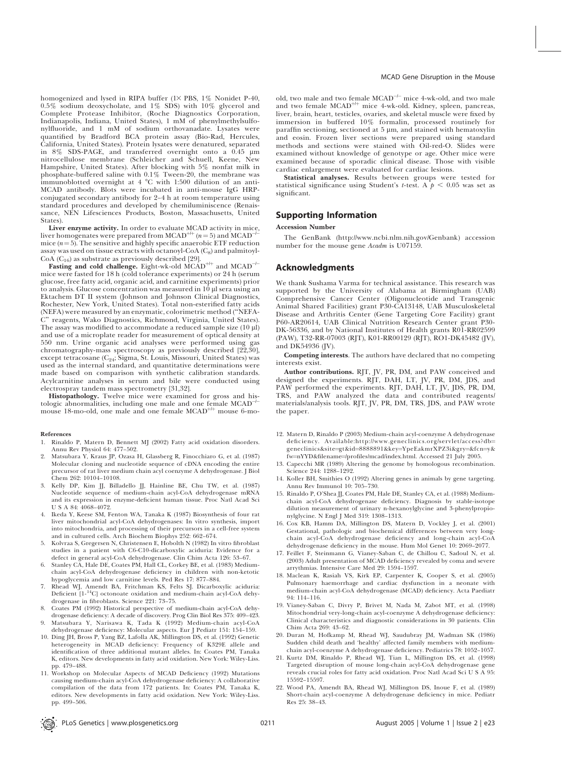homogenized and lysed in RIPA buffer  $(1 \times$  PBS,  $1\%$  Nonidet P-40, 0.5% sodium deoxycholate, and 1% SDS) with 10% glycerol and Complete Protease Inhibitor, (Roche Diagnostics Corporation, Indianapolis, Indiana, United States), 1 mM of phenylmethylsulfonylfluoride, and 1 mM of sodium orthovanadate. Lysates were quantified by Bradford BCA protein assay (Bio-Rad, Hercules, California, United States). Protein lysates were denatured, separated in  $8\%$  SDS-PAGE, and transferred overnight onto a  $0.45$  µm nitrocellulose membrane (Schleicher and Schuell, Keene, New Hampshire, United States). After blocking with 5% nonfat milk in phosphate-buffered saline with 0.1% Tween-20, the membrane was immunoblotted overnight at  $4^{\circ}$ C with 1:500 dilution of an anti-MCAD antibody. Blots were incubated in anti-mouse IgG HRPconjugated secondary antibody for 2–4 h at room temperature using standard procedures and developed by chemiluminiscence (Renaissance, NEN Lifesciences Products, Boston, Massachusetts, United States).

Liver enzyme activity. In order to evaluate MCAD activity in mice, liver homogenates were prepared from MCAD<sup>+/+</sup> (n = 5) and MCAD<sup>-/-</sup> mice  $(n=5)$ . The sensitive and highly specific anaerobic ETF reduction assay was used on tissue extracts with octanoyl-CoA (C8) and palmitoyl-CoA  $(C_{16})$  as substrate as previously described [29].

Fasting and cold challenge. Eight-wk-old  $\text{MCAD}^{++}$  and  $\text{MCAD}^{+-}$ mice were fasted for 18 h (cold tolerance experiments) or 24 h (serum glucose, free fatty acid, organic acid, and carnitine experiments) prior to analysis. Glucose concentration was measured in  $10 \mu$ l sera using an Ektachem DT II system (Johnson and Johnson Clinical Diagnostics, Rochester, New York, United States). Total non-esterified fatty acids (NEFA) were measured by an enzymatic, colorimetric method (''NEFA-C'' reagents, Wako Diagnostics, Richmond, Virginia, United States). The assay was modified to accommodate a reduced sample size  $(10 \mu l)$ and use of a microplate reader for measurement of optical density at 550 nm. Urine organic acid analyses were performed using gas chromatography-mass spectroscopy as previously described [22,30], except tetracosane (C<sub>24</sub>; Sigma, St. Louis, Missouri, United States) was used as the internal standard, and quantitative determinations were made based on comparison with synthetic calibration standards. Acylcarnitine analyses in serum and bile were conducted using electrospray tandem mass spectrometry [31,32].

**Histopathology.** Twelve mice were examined for gross and his-<br>oxic abnormalities including one male and one female  $MCAD^{-1}$ tologic abnormalities, including one male and one female MCADmouse 18-mo-old, one male and one female  $MCAD^{++}$  mouse 6-mo-

#### References

- 1. Rinaldo P, Matern D, Bennett MJ (2002) Fatty acid oxidation disorders. Annu Rev Physiol 64: 477–502.
- 2. Matsubara Y, Kraus JP, Ozasa H, Glassberg R, Finocchiaro G, et al. (1987) Molecular cloning and nucleotide sequence of cDNA encoding the entire precursor of rat liver medium chain acyl coenzyme A dehydrogenase. J Biol Chem 262: 10104–10108.
- 3. Kelly DP, Kim JJ, Billadello JJ, Hainline BE, Chu TW, et al. (1987) Nucleotide sequence of medium-chain acyl-CoA dehydrogenase mRNA and its expression in enzyme-deficient human tissue. Proc Natl Acad Sci U S A 84: 4068–4072.
- 4. Ikeda Y, Keese SM, Fenton WA, Tanaka K (1987) Biosynthesis of four rat liver mitochondrial acyl-CoA dehydrogenases: In vitro synthesis, import into mitochondria, and processing of their precursors in a cell-free system and in cultured cells. Arch Biochem Biophys 252: 662–674.
- 5. Kolvraa S, Gregersen N, Christensen E, Hobolth N (1982) In vitro fibroblast studies in a patient with C6-C10-dicarboxylic aciduria: Evidence for a defect in general acyl-CoA dehydrogenase. Clin Chim Acta 126: 53–67.
- 6. Stanley CA, Hale DE, Coates PM, Hall CL, Corkey BE, et al. (1983) Mediumchain acyl-CoA dehydrogenase deficiency in children with non-ketotic hypoglycemia and low carnitine levels. Ped Res 17: 877–884.
- 7. Rhead WJ, Amendt BA, Fritchman KS, Felts SJ. Dicarboxylic aciduria: Deficient [1-14C] octonoate oxidation and medium-chain acyl-CoA dehydrogenase in fibroblasts. Science 221: 73–75.
- 8. Coates PM (1992) Historical perspective of medium-chain acyl-CoA dehydrogenase deficiency: A decade of discovery. Prog Clin Biol Res 375: 409–423. 9. Matsubara Y, Narisawa K, Tada K (1992) Medium-chain acyl-CoA
- dehydrogenase deficiency: Molecular aspects. Eur J Pediatr 151: 154–159. 10. Ding JH, Bross P, Yang BZ, Lafolla AK, Millington DS, et al. (1992) Genetic heterogeneity in MCAD deficiency: Frequency of K329E allele and identification of three additional mutant alleles. In: Coates PM, Tanaka K, editors. New developments in fatty acid oxidation. New York: Wiley-Liss. p. 479-488.
- 11. Workshop on Molecular Aspects of MCAD Deficiency (1992) Mutations<br>11. Workshop on Molecular Aspects of MCAD Deficiency A collaborative causing medium-chain acyl-CoA dehydrogenase deficiency: A collaborative compilation of the data from 172 patients. In: Coates PM, Tanaka K, editors. New developments in fatty acid oxidation. New York: Wiley-Liss. pp. 499–506.

old, two male and two female  $\mathrm{MCAD}^{\!\perp\!-}$  mice 4-wk-old, and two male and two female MCAD<sup>+/+</sup> mice 4-wk-old. Kidney, spleen, pancreas, liver, brain, heart, testicles, ovaries, and skeletal muscle were fixed by immersion in buffered 10% formalin, processed routinely for paraffin sectioning, sectioned at  $5 \mu m$ , and stained with hematoxylin and eosin. Frozen liver sections were prepared using standard methods and sections were stained with Oil-red-O. Slides were examined without knowledge of genotype or age. Other mice were examined because of sporadic clinical disease. Those with visible cardiac enlargement were evaluated for cardiac lesions.

Statistical analyses. Results between groups were tested for statistical significance using Student's t-test. A  $p < 0.05$  was set as significant.

#### Supporting Information

#### Accession Number

The GenBank (http://www.ncbi.nlm.nih.gov/Genbank) accession number for the mouse gene Acadm is U07159.

#### Acknowledgments

We thank Sushama Varma for technical assistance. This research was supported by the University of Alabama at Birmingham (UAB) Comprehensive Cancer Center (Oligonucleotide and Transgenic Animal Shared Facilities) grant P30-CA13148, UAB Musculoskeletal Disease and Arthritis Center (Gene Targeting Core Facility) grant P60-AR20614, UAB Clinical Nutrition Research Center grant P30- DK-56336, and by National Institutes of Health grants R01-RR02599 (PAW), T32-RR-07003 (RJT), K01-RR00129 (RJT), RO1-DK45482 (JV), and DK54936 (JV).

Competing interests. The authors have declared that no competing interests exist.

Author contributions. RJT, JV, PR, DM, and PAW conceived and designed the experiments. RJT, DAH, LT, JV, PR, DM, JDS, and PAW performed the experiments. RJT, DAH, LT, JV, JDS, PR, DM, TRS, and PAW analyzed the data and contributed reagents/ materials/analysis tools. RJT, JV, PR, DM, TRS, JDS, and PAW wrote the paper.

- 12. Matern D, Rinaldo P (2003) Medium-chain acyl-coenzyme A dehydrogenase deficiency. Available:http://www.geneclinics.org/servlet/access?db= geneclinics&site=gt&id=8888891&key=YpeEakmrXPZ3i&gry=&fcn=y& fw¼nYYD&filename¼/profiles/mcad/index.html. Accessed 21 July 2005.
- 13. Capecchi MR (1989) Altering the genome by homologous recombination. Science 244: 1288–1292.
- 14. Koller BH, Smithies O (1992) Altering genes in animals by gene targeting. Annu Rev Immunol 10: 705–730.
- 15. Rinaldo P, O'Shea JJ, Coates PM, Hale DE, Stanley CA, et al. (1988) Mediumchain acyl-CoA dehydrogenase deficiency. Diagnosis by stable-isotope dilution measurement of urinary n-hexanoylglycine and 3-phenylpropionylglycine. N Engl J Med 319: 1308–1313.
- 16. Cox KB, Hamm DA, Millington DS, Matern D, Vockley J, et al. (2001) Gestational, pathologic and biochemical differences between very longchain acyl-CoA dehydrogenase deficiency and long-chain acyl-CoA dehydrogenase deficiency in the mouse. Hum Mol Genet 10: 2069–2077.
- 17. Feillet F, Steinmann G, Vianey-Saban C, de Chillou C, Sadoul N, et al. (2003) Adult presentation of MCAD deficiency revealed by coma and severe arrythmias. Intensive Care Med 29: 1594–1597.
- 18. Maclean K, Rasiah VS, Kirk EP, Carpenter K, Cooper S, et al. (2005) Pulmonary haemorrhage and cardiac dysfunction in a neonate with medium-chain acyl-CoA dehydrogenase (MCAD) deficiency. Acta Paediatr 94: 114–116.
- 19. Vianey-Saban C, Divry P, Brivet M, Nada M, Zabot MT, et al. (1998) Mitochondrial very-long-chain acyl-coenzyme A dehydrogenase deficiency: Clinical characteristics and diagnostic considerations in 30 patients. Clin Chim Acta 269: 43–62.
- 20. Duran M, Hofkamp M, Rhead WJ, Saudubray JM, Wadman SK (1986) Sudden child death and 'healthy' affected family members with mediumchain acyl-coenzyme A dehydrogenase deficiency. Pediatrics 78: 1052–1057.
- 21. Kurtz DM, Rinaldo P, Rhead WJ, Tian L, Millington DS, et al. (1998) Targeted disruption of mouse long-chain acyl-CoA dehydrogenase gene reveals crucial roles for fatty acid oxidation. Proc Natl Acad Sci U S A 95: 15592–15597.
- 22. Wood PA, Amendt BA, Rhead WJ, Millington DS, Inoue F, et al. (1989) Short-chain acyl-coenzyme A dehydrogenase deficiency in mice. Pediatr Res 25: 38–43.